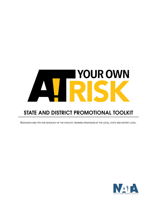

# STATE AND DISTRICT PROMOTIONAL TOOLKIT

RESOURCES AND TIPS FOR ADVOCACY OF THE ATHLETIC TRAINING PROFESSION AT THE LOCAL, STATE AND DISTRICT LEVEL.

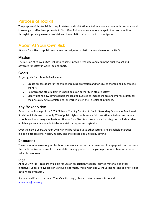## **Purpose of Toolkit**

The purpose of this toolkit is to equip state and district athletic trainers' associations with resources and knowledge to effectively promote At Your Own Risk and advocate for change in their communities through improving awareness of risk and the athletic trainers' role in risk mitigation.

## **About At Your Own Risk**

At Your Own Risk is a public awareness campaign for athletic trainers developed by NATA.

### **Mission**

The mission of At Your Own Risk is to educate, provide resources and equip the public to act and advocate for safety in work, life and sport.

### Goals

Project goals for this initiative include:

- 1. Create ambassadors for the athletic training profession and for causes championed by athletic trainers.
- 2. Reinforce the athletic trainer's position as an authority in athlete safety.
- 3. Clearly define how key stakeholders can get involved to impact change and improve safety for the physically active athlete and/or worker, given their area(s) of influence.

### **Key Stakeholders**

Based on the findings of the 2015 "Athletic Training Services in Public Secondary Schools: A Benchmark Study" which showed that only 37% of public high schools have a full time athletic trainer, secondary schools are the primary emphasis for At Your Own Risk. Key stakeholders for this group include student athletes, parents, school administrators, risk managers and legislators.

Over the next 3 years, At Your Own Risk will be rolled out to other settings and stakeholder groups including occupational health, military and the college and university setting.

### **Resources**

These resources serve as great tools for your association and your members to engage with and educate the public on issues relevant to the athletic training profession. Help equip your members with these valuable resources.

#### Logo

At Your Own Risk logos are available for use on association websites, printed material and other initiatives. Logos are available in various file formats, types (with and without tagline) and colors (4 color options are available).

If you would like to use the At Your Own Risk logo, please contact Amanda Muscatell [amandam@nata.org.](mailto:amandam@nata.org)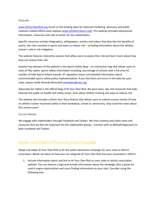#### Website

[www.AtYourOwnRisk.org](http://www.atyourownrisk.org/) serves as the landing place for external marketing, advocacy and public relations related efforts (and replaces [www.athletictrainers.org\)](http://www.athletictrainers.org/). This website provides educational information, resources and calls to action for key stakeholders.

Specific resources include infographics, whitepapers, articles and videos that describe the benefits of sports, the risks involved in sports and ways to reduce risk – including information about the athletic trainer's role in risk mitigation.

The website features interactive quizzes that allow users to assess their risk and learn more about how they can reduce their risk.

Another key element of the website is the Sports Safety Map – an interactive map that allows users to view all fifty states' sports safety information including: percentage of schools with a full time AT, number of Safe Sports School awards, AT regulation status and detailed information about recommended sports safety policy implementation. If you feel there are errors in the data for your state, please notify Amanda Muscatel[l amandam@nata.org.](mailto:amandam@nata.org)

*Advocates for Safety* is the official blog of At Your Own Risk. We post news, tips and resources that help educate the public on health and safety issues, facts about athletic training and ways to reduce risk.

The website also includes a Share Your Story feature that allows users to submit success stories of how an athletic trainer improved safety in their workplace, school or community. Stay tuned for news about this section soon!

#### **Social Media**

We engage with stakeholders through Facebook and Twitter. We host contests and share news and resources that we feel are important for the stakeholder groups. Connect with us @ASaferApproach on both Facebook and Twitter.

## **State and District Promotional Checklist**

Adopt and adapt At Your Own Risk to be the public awareness campaign for your state or district association. Below are ideas on how you can integrate At Your Own Risk into your association's efforts:

1. Include information about and link to At Your Own Risk on your state or district association website. You can feature a logo and include information about the campaign (this is great for search engine optimization and users finding information on your site). Consider using the following text: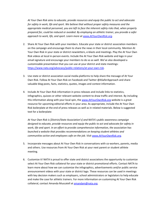*At Your Own Risk aims to educate, provide resources and equip the public to act and advocate for safety in work, life and sport. We believe that without proper safety measures and the appropriate medical personnel, you are left to face the inherent safety risks that, when properly prepared for, could be reduced or avoided. By employing an athletic trainer, you provide a safer approach to work, life, and sport. Learn more at [www.AtYourOwnRisk.org.](http://www.atyourownrisk.org/)* 

- 2. Share At Your Own Risk with your members. Educate your state or district association members on the campaign and encourage them to share the news in their local community. Mention At Your Own Risk in your state or district newsletters, e-blasts and meetings. Play the At Your Own Risk videos at local in-person events. Include the At Your Own Risk website and logo in your email signature and encourage your members to do so as well. We've also developed a customizable presentation that you can use at your district and state meetings: [https://www.nata.org/advocacy/public-relations/at-your-own-risk.](https://www.nata.org/advocacy/public-relations/at-your-own-risk)
- 3. Use state or district association social media platforms to help share the message of At Your Own Risk. Follow At Your Own Risk on Facebook and Twitter @ASaferApproach and share valuable blog posts, facts, statistics, quotes, images and contest information.
- 4. Include At Your Own Risk information in press releases and include links to statistics, infographics, quizzes or other relevant website content to draw traffic and interest. By including this information along with your local spin, the [www.AtYourOwnRisk.org](http://www.atyourownrisk.org/) website is a great resource for upcoming editorial efforts in your area. As appropriate, include the At Your Own Risk boilerplate at the end of press releases as well as in related materials. Below is suggested text for a boilerplate:

*At Your Own Risk is [District/State Association's] and NATA's public awareness campaign designed to educate, provide resources and equip the public to act and advocate for safety in work, life and sport. In an effort to provide comprehensive information, the association has launched a website that provides recommendations on keeping student athletes and communities active and employees safe on the job. Visit [www.AtYourOwnRisk.org.](http://www.atyourownrisk.org/)*

- 5. Incorporate messages about At Your Own Risk in conversations with co-workers, parents, media and others. Use resources from At Your Own Risk at your next parent or student athlete meeting.
- 6. Customize it! NATA is proud to offer state and district associations the opportunity to customize select At Your Own Risk collateral for your state or district promotional efforts. Contact NATA to learn more about how we can customize the infographics, advertisements and/or public service announcement videos with your state or district logo. These resources can be used in meetings with key decision makers such as employers, school administrators or legislators to help educate and make the case for athletic trainers. For more information on customizing At Your Own Risk collateral, contact Amanda Muscatell at [amandam@nata.org.](mailto:amandam@nata.org)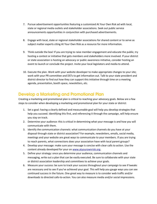- 7. Pursue advertisement opportunities featuring a customized At Your Own Risk ad with local, state or regional media outlets and stakeholder associations. Seek out public service announcements opportunities in conjunction with purchased advertisements.
- 8. Engage with local, state or regional stakeholder associations for shared content or to serve as subject matter experts citing At Your Own Risk as a resource for more information.
- 9. Think outside the box! If you are trying to raise member engagement and educate the public, try hosting a contest or initiative that gets members and stakeholders more involved. If your district or state association is hosting an advocacy or public awareness initiative, consider hosting an event to launch or conclude the project. Invite your local legislators and media to attend.
- 10. Execute the plan. Work with your website developer to make appropriate changes to your site; work with your PR committee and DSTs to get information out. Talk to your state president and district director to find out how they can support this initiative through time on a meeting agenda, presentation, booth space, newsletters, etc.

### **Develop a Marketing and Promotional Plan**

Creating a marketing and promotional plan is critical to reaching your advocacy goals. Below are a few steps to consider when developing a marketing and promotional plan for your state or district:

- 1. Set a goal: having a clearly defined and measureable goal will help you develop strategies that help you succeed. Identifying this first, and referencing it through the campaign, will help ensure you stay on track.
- 2. Determine your audience: this is critical in determining what your message is and how you will communicate with them.
- 3. Identify the communication channels: what communication channels do you have at your disposal through state or district association? For example, newsletters, emails, social media, meetings and your website are great ways to communicate to your members. If you are trying to reach parents, what connections does your association have with local parent groups?
- 4. Develop your message: make sure your message is concise with clear calls to action. Use the content already developed for your on [www.atyourownrisk.org.](http://www.atyourownrisk.org/)
- 5. Define your strategy: once you determine your audience, communication channels and messaging, write out a plan that can be easily executed. Be sure to collaborate with your state or district association leadership and committees to achieve your goals.
- 6. Measure your success: be sure to track your success throughout your campaign to see if tweaks are necessary and to see if you've achieved your goal. This will help you gauge ways you can see continued success in the future. One great way to measure is to consider web traffic and/or downloads to directed calls-to-action. You can also measure media and/or social impressions.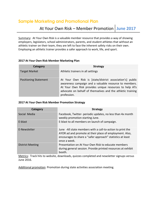## **Sample Marketing and Promotional Plan**

## At Your Own Risk – Member Promotion **June 2017**

Summary: At Your Own Risk is a valuable member resource that provides a way of showing employers, legislators, school administrators, parents, and student athletes that without an athletic trainer on their team, they are left to face the inherent safety risks on their own. Employing an athletic trainer provides a safer approach to work, life, and sport.

#### **2017 At Your Own Risk Member Marketing Plan**

| Category                     | <b>Strategy</b>                                                                                                                                                                                                                                            |
|------------------------------|------------------------------------------------------------------------------------------------------------------------------------------------------------------------------------------------------------------------------------------------------------|
| <b>Target Market</b>         | Athletic trainers in all settings                                                                                                                                                                                                                          |
| <b>Positioning Statement</b> | At Your Own Risk is [state/district association's] public<br>awareness campaign and a valuable resource to members.<br>At Your Own Risk provides unique resources to help ATs<br>advocate on behalf of themselves and the athletic training<br>profession. |

#### **2017 At Your Own Risk Member Promotion Strategy**

| Category                | <b>Strategy</b>                                                                                                                                                                                     |
|-------------------------|-----------------------------------------------------------------------------------------------------------------------------------------------------------------------------------------------------|
| Social Media            | Facebook, Twitter- periodic updates, no less than 4x month<br>weekly promotion starting June.                                                                                                       |
| E-blast                 | E-blast to all members on launch of campaign.                                                                                                                                                       |
| E-Newsletter            | June -All state members with a call-to-action to print the<br>AYOR ad and promote at their place of employment. Also,<br>encourages to share a "safer approach" statistics at least<br>once a week. |
| <b>District Meeting</b> | Presentation on At Your Own Risk to educate members<br>during general session. Provide printed resources at exhibit<br>booth.                                                                       |

Metrics: Track hits to website, downloads, quizzes completed and newsletter signups versus June 2016.

Additional promotion: Promotion during state activities association meeting.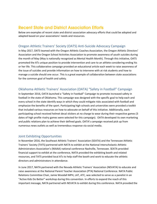## **Recent State and District Association Efforts**

Below are examples of recent state and district association advocacy efforts that could be adopted and adapted based on your associations' needs and resources.

#### Oregon Athletic Trainers' Society (OATS) Anti-Suicide Advocacy Campaign

In May 2017, OATS teamed with the Oregon Athletic Coaches Association, the Oregon Athletic Directors' Association and the Oregon School Activities Association to promote awareness of youth suicides during the month of May (May is nationally recognized as Mental Health Month). Through this initiative, OATS promoted the ATs unique position to provide intervention and care to an athlete considering ending his or her life. This collaborative campaign provided an educational article each week to raise awareness of the issue of suicides and provide information on how to intervene with at risk students and how to manage a suicide should one occur. This is a great example of collaboration between state associations for the common goal of health and safety.

### Oklahoma Athletic Trainers' Association (OATA) "Safety in Football" Campaign

In September 2016, OATA launched a "Safety in Football" Campaign to promote increased safety in football in the state of Oklahoma. This campaign was designed with the specific goal to help each and every school in the state identify ways in which they could mitigate risks associated with football and emphasize the benefits of the sport. Participating high schools and universities were provided a toolkit that included various resources on how to advocate on behalf of this initiative. Additionally, each participating school received helmet decal stickers at no charge to wear during their respective games (3 dates of high profile rivalry games were selected for this campaign). OATA developed its own marketing and public relations plan to achieve their defined goals. OATA's campaign received pick up from numerous news outlets as well as tremendous response via social media.

#### Joint Exhibiting Opportunities

In November 2016, the Southeast Athletic Trainers' Association (SEATA) and the Tennessee Athletic Trainers' Society (TATS) partnered with NATA to exhibit at the National Interscholastic Athletic Administrators Association's (NIAAA) national conference Nashville, Tennessee. SEATA provided financial support to exhibit at the conference, NATA provided the exhibiting booth and related resources, and TATS provided local ATs to help staff the booth and work to educate the athletic directors and administrators in attendance.

In June 2017, NATA partnered with the Nevada Athletic Trainers' Association (NEVATA) to educate and raise awareness at the National Parent Teacher Association (PTA) National Conference. NATA Public Relations Committee Chair, Jamie Woodall MPH, LAT, ATC, was selected to serve as a panelist in an "Active Kids Do Better" workshop during this convention. In efforts to expand the reach of this important message, NATA partnered with NEVATA to exhibit during this conference. NATA provided the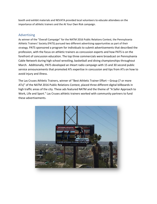booth and exhibit materials and NEVATA provided local volunteers to educate attendees on the importance of athletic trainers and the At Your Own Risk campaign.

### Advertising

As winner of the "Overall Campaign" for the NATM 2016 Public Relations Contest, the Pennsylvania Athletic Trainers' Society (PATS) pursued two different advertising opportunities as part of their strategy. PATS sponsored a program for individuals to submit advertisements that described the profession, with the focus on athletic trainers as concussion experts and how PATS is on the forefront of concussion education. The top three commercials were broadcast on Pennsylvania Cable Network during high school wrestling, basketball and diving championships throughout March. Additionally, PATS developed an iHeart radio campaign with 15 and 30 second public service announcements that promoted ATs expertise in concussion and tips from ATs on how to avoid injury and illness.

The Las Cruses Athletic Trainers, winner of "Best Athletic Trainer Effort – Group (7 or more ATs)" of the NATM 2016 Public Relations Contest, placed three different digital billboards in high traffic areas of the city. These ads featured NATM and the theme of "A Safer Approach to Work, Life and Sport." Las Cruses athletic trainers worked with community partners to fund these advertisements.